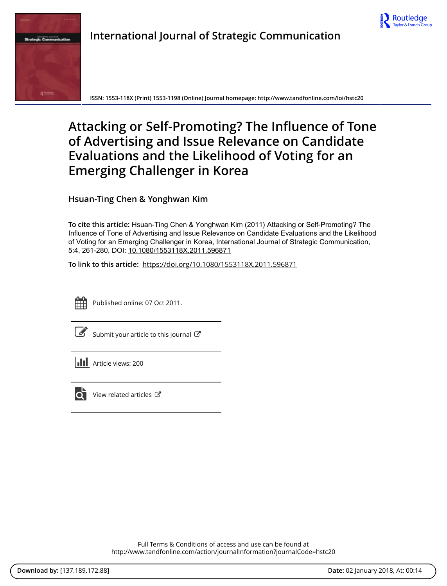



# **International Journal of Strategic Communication**

**ISSN: 1553-118X (Print) 1553-1198 (Online) Journal homepage: <http://www.tandfonline.com/loi/hstc20>**

# **Attacking or Self-Promoting? The Influence of Tone of Advertising and Issue Relevance on Candidate Evaluations and the Likelihood of Voting for an Emerging Challenger in Korea**

**Hsuan-Ting Chen & Yonghwan Kim**

**To cite this article:** Hsuan-Ting Chen & Yonghwan Kim (2011) Attacking or Self-Promoting? The Influence of Tone of Advertising and Issue Relevance on Candidate Evaluations and the Likelihood of Voting for an Emerging Challenger in Korea, International Journal of Strategic Communication, 5:4, 261-280, DOI: [10.1080/1553118X.2011.596871](http://www.tandfonline.com/action/showCitFormats?doi=10.1080/1553118X.2011.596871)

**To link to this article:** <https://doi.org/10.1080/1553118X.2011.596871>



Published online: 07 Oct 2011.

| and the state of the state of the state of the state of the state of the state of the state of the state of th |
|----------------------------------------------------------------------------------------------------------------|
|----------------------------------------------------------------------------------------------------------------|

[Submit your article to this journal](http://www.tandfonline.com/action/authorSubmission?journalCode=hstc20&show=instructions)  $\mathbb{Z}$ 

 $\overline{Q}$  [View related articles](http://www.tandfonline.com/doi/mlt/10.1080/1553118X.2011.596871)  $\mathbb{Z}$ 

Full Terms & Conditions of access and use can be found at <http://www.tandfonline.com/action/journalInformation?journalCode=hstc20>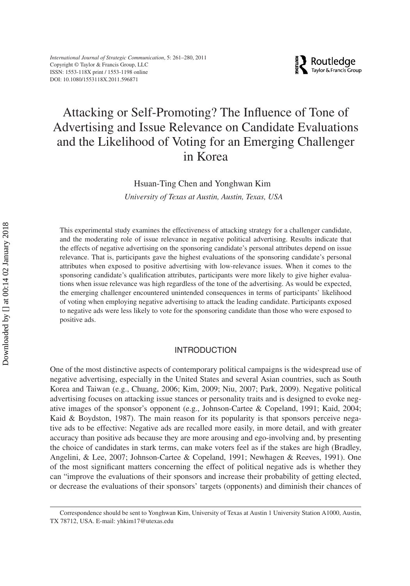

## Attacking or Self-Promoting? The Influence of Tone of Advertising and Issue Relevance on Candidate Evaluations and the Likelihood of Voting for an Emerging Challenger in Korea

Hsuan-Ting Chen and Yonghwan Kim *University of Texas at Austin, Austin, Texas, USA*

This experimental study examines the effectiveness of attacking strategy for a challenger candidate, and the moderating role of issue relevance in negative political advertising. Results indicate that the effects of negative advertising on the sponsoring candidate's personal attributes depend on issue relevance. That is, participants gave the highest evaluations of the sponsoring candidate's personal attributes when exposed to positive advertising with low-relevance issues. When it comes to the sponsoring candidate's qualification attributes, participants were more likely to give higher evaluations when issue relevance was high regardless of the tone of the advertising. As would be expected, the emerging challenger encountered unintended consequences in terms of participants' likelihood of voting when employing negative advertising to attack the leading candidate. Participants exposed to negative ads were less likely to vote for the sponsoring candidate than those who were exposed to positive ads.

## INTRODUCTION

One of the most distinctive aspects of contemporary political campaigns is the widespread use of negative advertising, especially in the United States and several Asian countries, such as South Korea and Taiwan (e.g., Chuang, 2006; Kim, 2009; Niu, 2007; Park, 2009). Negative political advertising focuses on attacking issue stances or personality traits and is designed to evoke negative images of the sponsor's opponent (e.g., Johnson-Cartee & Copeland, 1991; Kaid, 2004; Kaid & Boydston, 1987). The main reason for its popularity is that sponsors perceive negative ads to be effective: Negative ads are recalled more easily, in more detail, and with greater accuracy than positive ads because they are more arousing and ego-involving and, by presenting the choice of candidates in stark terms, can make voters feel as if the stakes are high (Bradley, Angelini, & Lee, 2007; Johnson-Cartee & Copeland, 1991; Newhagen & Reeves, 1991). One of the most significant matters concerning the effect of political negative ads is whether they can "improve the evaluations of their sponsors and increase their probability of getting elected, or decrease the evaluations of their sponsors' targets (opponents) and diminish their chances of

Correspondence should be sent to Yonghwan Kim, University of Texas at Austin 1 University Station A1000, Austin, TX 78712, USA. E-mail: yhkim17@utexas.edu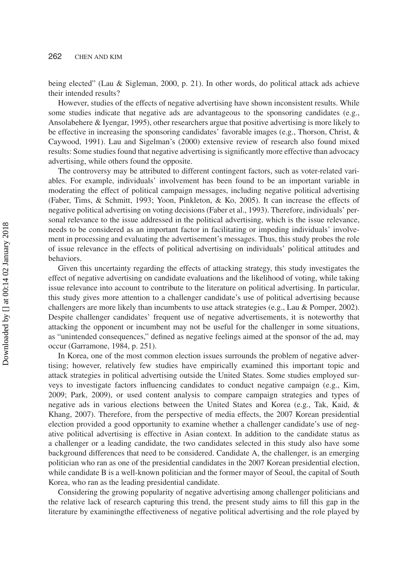being elected" (Lau & Sigleman, 2000, p. 21). In other words, do political attack ads achieve their intended results?

However, studies of the effects of negative advertising have shown inconsistent results. While some studies indicate that negative ads are advantageous to the sponsoring candidates (e.g., Ansolabehere & Iyengar, 1995), other researchers argue that positive advertising is more likely to be effective in increasing the sponsoring candidates' favorable images (e.g., Thorson, Christ, & Caywood, 1991). Lau and Sigelman's (2000) extensive review of research also found mixed results: Some studies found that negative advertising is significantly more effective than advocacy advertising, while others found the opposite.

The controversy may be attributed to different contingent factors, such as voter-related variables. For example, individuals' involvement has been found to be an important variable in moderating the effect of political campaign messages, including negative political advertising (Faber, Tims, & Schmitt, 1993; Yoon, Pinkleton, & Ko, 2005). It can increase the effects of negative political advertising on voting decisions (Faber et al., 1993). Therefore, individuals' personal relevance to the issue addressed in the political advertising, which is the issue relevance, needs to be considered as an important factor in facilitating or impeding individuals' involvement in processing and evaluating the advertisement's messages. Thus, this study probes the role of issue relevance in the effects of political advertising on individuals' political attitudes and behaviors.

Given this uncertainty regarding the effects of attacking strategy, this study investigates the effect of negative advertising on candidate evaluations and the likelihood of voting, while taking issue relevance into account to contribute to the literature on political advertising. In particular, this study gives more attention to a challenger candidate's use of political advertising because challengers are more likely than incumbents to use attack strategies (e.g., Lau & Pomper, 2002). Despite challenger candidates' frequent use of negative advertisements, it is noteworthy that attacking the opponent or incumbent may not be useful for the challenger in some situations, as "unintended consequences," defined as negative feelings aimed at the sponsor of the ad, may occur (Garramone, 1984, p. 251).

In Korea, one of the most common election issues surrounds the problem of negative advertising; however, relatively few studies have empirically examined this important topic and attack strategies in political advertising outside the United States. Some studies employed surveys to investigate factors influencing candidates to conduct negative campaign (e.g., Kim, 2009; Park, 2009), or used content analysis to compare campaign strategies and types of negative ads in various elections between the United States and Korea (e.g., Tak, Kaid, & Khang, 2007). Therefore, from the perspective of media effects, the 2007 Korean presidential election provided a good opportunity to examine whether a challenger candidate's use of negative political advertising is effective in Asian context. In addition to the candidate status as a challenger or a leading candidate, the two candidates selected in this study also have some background differences that need to be considered. Candidate A, the challenger, is an emerging politician who ran as one of the presidential candidates in the 2007 Korean presidential election, while candidate B is a well-known politician and the former mayor of Seoul, the capital of South Korea, who ran as the leading presidential candidate.

Considering the growing popularity of negative advertising among challenger politicians and the relative lack of research capturing this trend, the present study aims to fill this gap in the literature by examiningthe effectiveness of negative political advertising and the role played by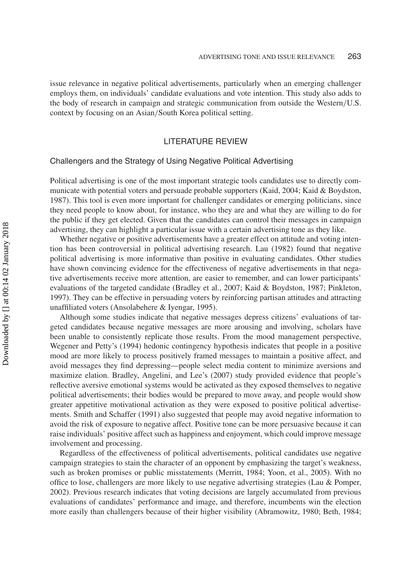issue relevance in negative political advertisements, particularly when an emerging challenger employs them, on individuals' candidate evaluations and vote intention. This study also adds to the body of research in campaign and strategic communication from outside the Western*/*U.S. context by focusing on an Asian*/*South Korea political setting.

## LITERATURE REVIEW

## Challengers and the Strategy of Using Negative Political Advertising

Political advertising is one of the most important strategic tools candidates use to directly communicate with potential voters and persuade probable supporters (Kaid, 2004; Kaid & Boydston, 1987). This tool is even more important for challenger candidates or emerging politicians, since they need people to know about, for instance, who they are and what they are willing to do for the public if they get elected. Given that the candidates can control their messages in campaign advertising, they can highlight a particular issue with a certain advertising tone as they like.

Whether negative or positive advertisements have a greater effect on attitude and voting intention has been controversial in political advertising research. Lau (1982) found that negative political advertising is more informative than positive in evaluating candidates. Other studies have shown convincing evidence for the effectiveness of negative advertisements in that negative advertisements receive more attention, are easier to remember, and can lower participants' evaluations of the targeted candidate (Bradley et al., 2007; Kaid & Boydston, 1987; Pinkleton, 1997). They can be effective in persuading voters by reinforcing partisan attitudes and attracting unaffiliated voters (Ansolabehere & Iyengar, 1995).

Although some studies indicate that negative messages depress citizens' evaluations of targeted candidates because negative messages are more arousing and involving, scholars have been unable to consistently replicate those results. From the mood management perspective, Wegener and Petty's (1994) hedonic contingency hypothesis indicates that people in a positive mood are more likely to process positively framed messages to maintain a positive affect, and avoid messages they find depressing—people select media content to minimize aversions and maximize elation. Bradley, Angelini, and Lee's (2007) study provided evidence that people's reflective aversive emotional systems would be activated as they exposed themselves to negative political advertisements; their bodies would be prepared to move away, and people would show greater appetitive motivational activation as they were exposed to positive political advertisements. Smith and Schaffer (1991) also suggested that people may avoid negative information to avoid the risk of exposure to negative affect. Positive tone can be more persuasive because it can raise individuals' positive affect such as happiness and enjoyment, which could improve message involvement and processing.

Regardless of the effectiveness of political advertisements, political candidates use negative campaign strategies to stain the character of an opponent by emphasizing the target's weakness, such as broken promises or public misstatements (Merritt, 1984; Yoon, et al., 2005). With no office to lose, challengers are more likely to use negative advertising strategies (Lau & Pomper, 2002). Previous research indicates that voting decisions are largely accumulated from previous evaluations of candidates' performance and image, and therefore, incumbents win the election more easily than challengers because of their higher visibility (Abramowitz, 1980; Beth, 1984;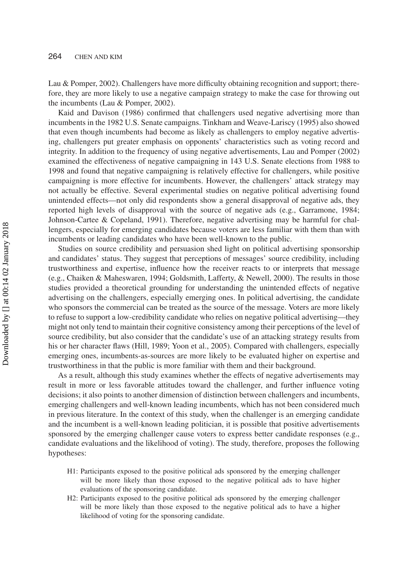Lau & Pomper, 2002). Challengers have more difficulty obtaining recognition and support; therefore, they are more likely to use a negative campaign strategy to make the case for throwing out the incumbents (Lau & Pomper, 2002).

Kaid and Davison (1986) confirmed that challengers used negative advertising more than incumbents in the 1982 U.S. Senate campaigns. Tinkham and Weave-Lariscy (1995) also showed that even though incumbents had become as likely as challengers to employ negative advertising, challengers put greater emphasis on opponents' characteristics such as voting record and integrity. In addition to the frequency of using negative advertisements, Lau and Pomper (2002) examined the effectiveness of negative campaigning in 143 U.S. Senate elections from 1988 to 1998 and found that negative campaigning is relatively effective for challengers, while positive campaigning is more effective for incumbents. However, the challengers' attack strategy may not actually be effective. Several experimental studies on negative political advertising found unintended effects—not only did respondents show a general disapproval of negative ads, they reported high levels of disapproval with the source of negative ads (e.g., Garramone, 1984; Johnson-Cartee & Copeland, 1991). Therefore, negative advertising may be harmful for challengers, especially for emerging candidates because voters are less familiar with them than with incumbents or leading candidates who have been well-known to the public.

Studies on source credibility and persuasion shed light on political advertising sponsorship and candidates' status. They suggest that perceptions of messages' source credibility, including trustworthiness and expertise, influence how the receiver reacts to or interprets that message (e.g., Chaiken & Maheswaren, 1994; Goldsmith, Lafferty, & Newell, 2000). The results in those studies provided a theoretical grounding for understanding the unintended effects of negative advertising on the challengers, especially emerging ones. In political advertising, the candidate who sponsors the commercial can be treated as the source of the message. Voters are more likely to refuse to support a low-credibility candidate who relies on negative political advertising—they might not only tend to maintain their cognitive consistency among their perceptions of the level of source credibility, but also consider that the candidate's use of an attacking strategy results from his or her character flaws (Hill, 1989; Yoon et al., 2005). Compared with challengers, especially emerging ones, incumbents-as-sources are more likely to be evaluated higher on expertise and trustworthiness in that the public is more familiar with them and their background.

As a result, although this study examines whether the effects of negative advertisements may result in more or less favorable attitudes toward the challenger, and further influence voting decisions; it also points to another dimension of distinction between challengers and incumbents, emerging challengers and well-known leading incumbents, which has not been considered much in previous literature. In the context of this study, when the challenger is an emerging candidate and the incumbent is a well-known leading politician, it is possible that positive advertisements sponsored by the emerging challenger cause voters to express better candidate responses (e.g., candidate evaluations and the likelihood of voting). The study, therefore, proposes the following hypotheses:

- H1: Participants exposed to the positive political ads sponsored by the emerging challenger will be more likely than those exposed to the negative political ads to have higher evaluations of the sponsoring candidate.
- H2: Participants exposed to the positive political ads sponsored by the emerging challenger will be more likely than those exposed to the negative political ads to have a higher likelihood of voting for the sponsoring candidate.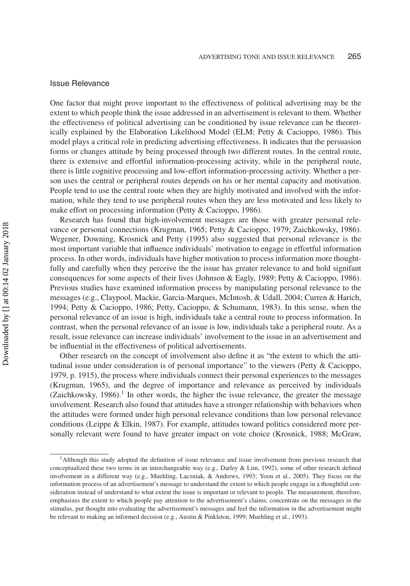## Issue Relevance

One factor that might prove important to the effectiveness of political advertising may be the extent to which people think the issue addressed in an advertisement is relevant to them. Whether the effectiveness of political advertising can be conditioned by issue relevance can be theoretically explained by the Elaboration Likelihood Model (ELM; Petty & Cacioppo, 1986). This model plays a critical role in predicting advertising effectiveness. It indicates that the persuasion forms or changes attitude by being processed through two different routes. In the central route, there is extensive and effortful information-processing activity, while in the peripheral route, there is little cognitive processing and low-effort information-processing activity. Whether a person uses the central or peripheral routes depends on his or her mental capacity and motivation. People tend to use the central route when they are highly motivated and involved with the information, while they tend to use peripheral routes when they are less motivated and less likely to make effort on processing information (Petty & Cacioppo, 1986).

Research has found that high-involvement messages are those with greater personal relevance or personal connections (Krugman, 1965; Petty & Cacioppo, 1979; Zaichkowsky, 1986). Wegener, Downing, Krosnick and Petty (1995) also suggested that personal relevance is the most important variable that influence individuals' motivation to engage in effortful information process. In other words, individuals have higher motivation to process information more thoughtfully and carefully when they perceive the the issue has greater relevance to and hold signifant consequences for some aspects of their lives (Johnson & Eagly, 1989; Petty & Cacioppo, 1986). Previous studies have examined information process by manipulating personal relevance to the messages (e.g., Claypool, Mackie, Garcia-Marques, McIntosh, & Udall, 2004; Curren & Harich, 1994; Petty & Cacioppo, 1986; Petty, Cacioppo, & Schumann, 1983). In this sense, when the personal relevance of an issue is high, individuals take a central route to process information. In contrast, when the personal relevance of an issue is low, individuals take a peripheral route. As a result, issue relevance can increase individuals' involvement to the issue in an advertisement and be influential in the effectiveness of political advertisements.

Other research on the concept of involvement also define it as "the extent to which the attitudinal issue under consideration is of personal importance" to the viewers (Petty & Cacioppo, 1979, p. 1915), the process where individuals connect their personal experiences to the messages (Krugman, 1965), and the degree of importance and relevance as perceived by individuals  $(Zaichkowski, 1986).$ <sup>1</sup> In other words, the higher the issue relevance, the greater the message involvement. Research also found that attitudes have a stronger relationship with behaviors when the attitudes were formed under high personal relevance conditions than low personal relevance conditions (Leippe & Elkin, 1987). For example, attitudes toward politics considered more personally relevant were found to have greater impact on vote choice (Krosnick, 1988; McGraw,

<sup>1</sup>Although this study adopted the definition of issue relevance and issue involvement from previous research that conceptualized these two terms in an interchangeable way (e.g., Darley & Lim, 1992), some of other research defined involvement in a different way (e.g., Muehling, Laczniak, & Andrews, 1993; Yoon et al., 2005). They focus on the information process of an advertisement's message to understand the extent to which people engage in a thoughtful consideration instead of understand to what extent the issue is important or relevant to people. The measurement, therefore, emphasizes the extent to which people pay attention to the advertisement's claims, concentrate on the messages in the stimulus, put thought into evaluating the advertisement's messages and feel the information in the advertisement might be relevant to making an informed decision (e.g., Austin & Pinkleton, 1999; Muehling et al., 1993).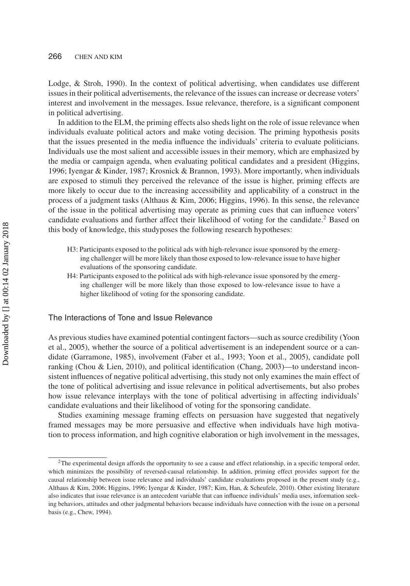Lodge, & Stroh, 1990). In the context of political advertising, when candidates use different issues in their political advertisements, the relevance of the issues can increase or decrease voters' interest and involvement in the messages. Issue relevance, therefore, is a significant component in political advertising.

In addition to the ELM, the priming effects also sheds light on the role of issue relevance when individuals evaluate political actors and make voting decision. The priming hypothesis posits that the issues presented in the media influence the individuals' criteria to evaluate politicians. Individuals use the most salient and accessible issues in their memory, which are emphasized by the media or campaign agenda, when evaluating political candidates and a president (Higgins, 1996; Iyengar & Kinder, 1987; Krosnick & Brannon, 1993). More importantly, when individuals are exposed to stimuli they perceived the relevance of the issue is higher, priming effects are more likely to occur due to the increasing accessibility and applicability of a construct in the process of a judgment tasks (Althaus & Kim, 2006; Higgins, 1996). In this sense, the relevance of the issue in the political advertising may operate as priming cues that can influence voters' candidate evaluations and further affect their likelihood of voting for the candidate.<sup>2</sup> Based on this body of knowledge, this studyposes the following research hypotheses:

- H3: Participants exposed to the political ads with high-relevance issue sponsored by the emerging challenger will be more likely than those exposed to low-relevance issue to have higher evaluations of the sponsoring candidate.
- H4: Participants exposed to the political ads with high-relevance issue sponsored by the emerging challenger will be more likely than those exposed to low-relevance issue to have a higher likelihood of voting for the sponsoring candidate.

## The Interactions of Tone and Issue Relevance

As previous studies have examined potential contingent factors—such as source credibility (Yoon et al., 2005), whether the source of a political advertisement is an independent source or a candidate (Garramone, 1985), involvement (Faber et al., 1993; Yoon et al., 2005), candidate poll ranking (Chou & Lien, 2010), and political identification (Chang, 2003)—to understand inconsistent influences of negative political advertising, this study not only examines the main effect of the tone of political advertising and issue relevance in political advertisements, but also probes how issue relevance interplays with the tone of political advertising in affecting individuals' candidate evaluations and their likelihood of voting for the sponsoring candidate.

Studies examining message framing effects on persuasion have suggested that negatively framed messages may be more persuasive and effective when individuals have high motivation to process information, and high cognitive elaboration or high involvement in the messages,

<sup>&</sup>lt;sup>2</sup>The experimental design affords the opportunity to see a cause and effect relationship, in a specific temporal order, which minimizes the possibility of reversed-causal relationship. In addition, priming effect provides support for the causal relationship between issue relevance and individuals' candidate evaluations proposed in the present study (e.g., Althaus & Kim, 2006; Higgins, 1996; Iyengar & Kinder, 1987; Kim, Han, & Scheufele, 2010). Other existing literature also indicates that issue relevance is an antecedent variable that can influence individuals' media uses, information seeking behaviors, attitudes and other judgmental behaviors because individuals have connection with the issue on a personal basis (e.g., Chew, 1994).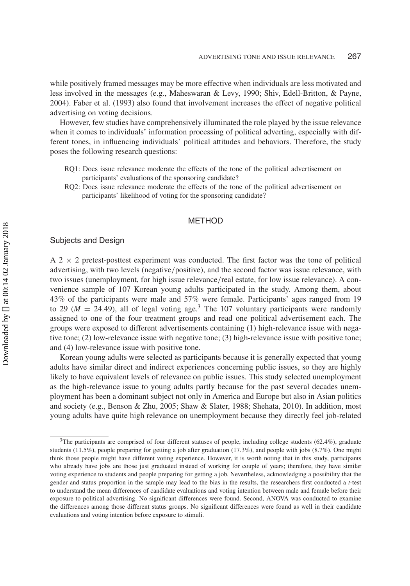while positively framed messages may be more effective when individuals are less motivated and less involved in the messages (e.g., Maheswaran & Levy, 1990; Shiv, Edell-Britton, & Payne, 2004). Faber et al. (1993) also found that involvement increases the effect of negative political advertising on voting decisions.

However, few studies have comprehensively illuminated the role played by the issue relevance when it comes to individuals' information processing of political adverting, especially with different tones, in influencing individuals' political attitudes and behaviors. Therefore, the study poses the following research questions:

- RQ1: Does issue relevance moderate the effects of the tone of the political advertisement on participants' evaluations of the sponsoring candidate?
- RQ2: Does issue relevance moderate the effects of the tone of the political advertisement on participants' likelihood of voting for the sponsoring candidate?

## METHOD

#### Subjects and Design

 $A$  2  $\times$  2 pretest-posttest experiment was conducted. The first factor was the tone of political advertising, with two levels (negative*/*positive), and the second factor was issue relevance, with two issues (unemployment, for high issue relevance*/*real estate, for low issue relevance). A convenience sample of 107 Korean young adults participated in the study. Among them, about 43% of the participants were male and 57% were female. Participants' ages ranged from 19 to 29 ( $M = 24.49$ ), all of legal voting age.<sup>3</sup> The 107 voluntary participants were randomly assigned to one of the four treatment groups and read one political advertisement each. The groups were exposed to different advertisements containing (1) high-relevance issue with negative tone; (2) low-relevance issue with negative tone; (3) high-relevance issue with positive tone; and (4) low-relevance issue with positive tone.

Korean young adults were selected as participants because it is generally expected that young adults have similar direct and indirect experiences concerning public issues, so they are highly likely to have equivalent levels of relevance on public issues. This study selected unemployment as the high-relevance issue to young adults partly because for the past several decades unemployment has been a dominant subject not only in America and Europe but also in Asian politics and society (e.g., Benson & Zhu, 2005; Shaw & Slater, 1988; Shehata, 2010). In addition, most young adults have quite high relevance on unemployment because they directly feel job-related

<sup>&</sup>lt;sup>3</sup>The participants are comprised of four different statuses of people, including college students (62.4%), graduate students (11.5%), people preparing for getting a job after graduation (17.3%), and people with jobs (8.7%). One might think those people might have different voting experience. However, it is worth noting that in this study, participants who already have jobs are those just graduated instead of working for couple of years; therefore, they have similar voting experience to students and people preparing for getting a job. Nevertheless, acknowledging a possibility that the gender and status proportion in the sample may lead to the bias in the results, the researchers first conducted a *t*-test to understand the mean differences of candidate evaluations and voting intention between male and female before their exposure to political advertising. No significant differences were found. Second, ANOVA was conducted to examine the differences among those different status groups. No significant differences were found as well in their candidate evaluations and voting intention before exposure to stimuli.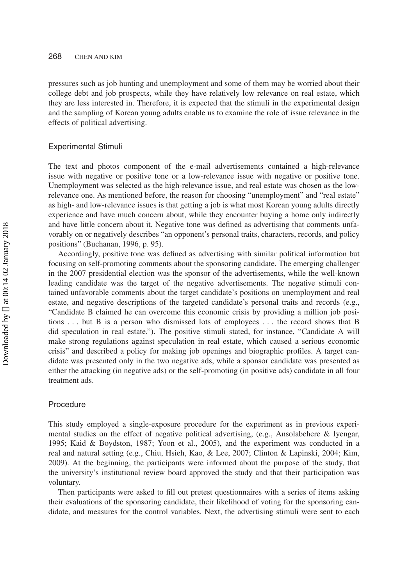pressures such as job hunting and unemployment and some of them may be worried about their college debt and job prospects, while they have relatively low relevance on real estate, which they are less interested in. Therefore, it is expected that the stimuli in the experimental design and the sampling of Korean young adults enable us to examine the role of issue relevance in the effects of political advertising.

## Experimental Stimuli

The text and photos component of the e-mail advertisements contained a high-relevance issue with negative or positive tone or a low-relevance issue with negative or positive tone. Unemployment was selected as the high-relevance issue, and real estate was chosen as the lowrelevance one. As mentioned before, the reason for choosing "unemployment" and "real estate" as high- and low-relevance issues is that getting a job is what most Korean young adults directly experience and have much concern about, while they encounter buying a home only indirectly and have little concern about it. Negative tone was defined as advertising that comments unfavorably on or negatively describes "an opponent's personal traits, characters, records, and policy positions" (Buchanan, 1996, p. 95).

Accordingly, positive tone was defined as advertising with similar political information but focusing on self-promoting comments about the sponsoring candidate. The emerging challenger in the 2007 presidential election was the sponsor of the advertisements, while the well-known leading candidate was the target of the negative advertisements. The negative stimuli contained unfavorable comments about the target candidate's positions on unemployment and real estate, and negative descriptions of the targeted candidate's personal traits and records (e.g., "Candidate B claimed he can overcome this economic crisis by providing a million job positions *...* but B is a person who dismissed lots of employees *...* the record shows that B did speculation in real estate."). The positive stimuli stated, for instance, "Candidate A will make strong regulations against speculation in real estate, which caused a serious economic crisis" and described a policy for making job openings and biographic profiles. A target candidate was presented only in the two negative ads, while a sponsor candidate was presented as either the attacking (in negative ads) or the self-promoting (in positive ads) candidate in all four treatment ads.

## Procedure

This study employed a single-exposure procedure for the experiment as in previous experimental studies on the effect of negative political advertising, (e.g., Ansolabehere & Iyengar, 1995; Kaid & Boydston, 1987; Yoon et al., 2005), and the experiment was conducted in a real and natural setting (e.g., Chiu, Hsieh, Kao, & Lee, 2007; Clinton & Lapinski, 2004; Kim, 2009). At the beginning, the participants were informed about the purpose of the study, that the university's institutional review board approved the study and that their participation was voluntary.

Then participants were asked to fill out pretest questionnaires with a series of items asking their evaluations of the sponsoring candidate, their likelihood of voting for the sponsoring candidate, and measures for the control variables. Next, the advertising stimuli were sent to each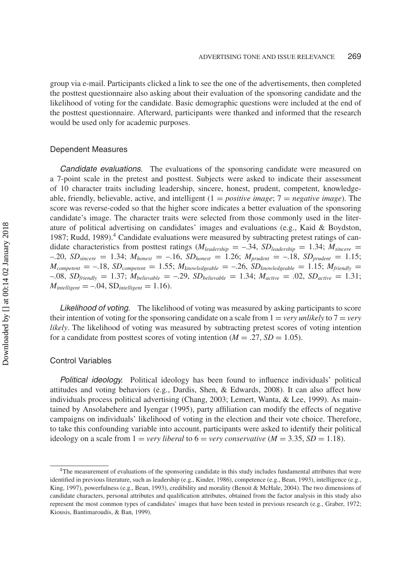group via e-mail. Participants clicked a link to see the one of the advertisements, then completed the posttest questionnaire also asking about their evaluation of the sponsoring candidate and the likelihood of voting for the candidate. Basic demographic questions were included at the end of the posttest questionnaire. Afterward, participants were thanked and informed that the research would be used only for academic purposes.

## Dependent Measures

*Candidate evaluations.* The evaluations of the sponsoring candidate were measured on a 7-point scale in the pretest and posttest. Subjects were asked to indicate their assessment of 10 character traits including leadership, sincere, honest, prudent, competent, knowledgeable, friendly, believable, active, and intelligent (1 = *positive image*; 7 = *negative image*). The score was reverse-coded so that the higher score indicates a better evaluation of the sponsoring candidate's image. The character traits were selected from those commonly used in the literature of political advertising on candidates' images and evaluations (e.g., Kaid & Boydston, 1987; Rudd, 1989). $4$  Candidate evaluations were measured by subtracting pretest ratings of candidate characteristics from posttest ratings  $(M_{leading} = -.34, SD_{leading} = 1.34; M_{sincere} =$ –.20, *SDsincere* = 1.34; *Mhonest* = –.16, *SDhonest* = 1.26; *Mprudent* = –.18, *SDprudent* = 1.15;  $M_{competent} = -.18$ ,  $SD_{competent} = 1.55$ ;  $M_{knowledgeable} = -.26$ ,  $SD_{knowledgeable} = 1.15$ ;  $M_{friendly} =$ –.08, *SDfriendly* = 1.37; *Mbelievable* = –.29, *SDbelievable* = 1.34; *Mactive* = .02, *SDactive* = 1.31;  $M_{\text{intelligent}} = -0.04$ ,  $SD_{\text{intelligent}} = 1.16$ .

*Likelihood of voting.* The likelihood of voting was measured by asking participants to score their intention of voting for the sponsoring candidate on a scale from  $1 = \nu$ ery *unlikely* to  $7 = \nu$ ery *likely*. The likelihood of voting was measured by subtracting pretest scores of voting intention for a candidate from posttest scores of voting intention ( $M = .27$ ,  $SD = 1.05$ ).

#### Control Variables

*Political ideology.* Political ideology has been found to influence individuals' political attitudes and voting behaviors (e.g., Dardis, Shen, & Edwards, 2008). It can also affect how individuals process political advertising (Chang, 2003; Lemert, Wanta, & Lee, 1999). As maintained by Ansolabehere and Iyengar (1995), party affiliation can modify the effects of negative campaigns on individuals' likelihood of voting in the election and their vote choice. Therefore, to take this confounding variable into account, participants were asked to identify their political ideology on a scale from  $1 = \text{very}$  *liberal* to  $6 = \text{very}$  *conservative* ( $M = 3.35$ ,  $SD = 1.18$ ).

<sup>4</sup>The measurement of evaluations of the sponsoring candidate in this study includes fundamental attributes that were identified in previous literature, such as leadership (e.g., Kinder, 1986), competence (e.g., Bean, 1993), intelligence (e.g., King, 1997), powerfulness (e.g., Bean, 1993), credibility and morality (Benoit & McHale, 2004). The two dimensions of candidate characters, personal attributes and qualification attributes, obtained from the factor analysis in this study also represent the most common types of candidates' images that have been tested in previous research (e.g., Graber, 1972; Kiousis, Bantimaroudis, & Ban, 1999).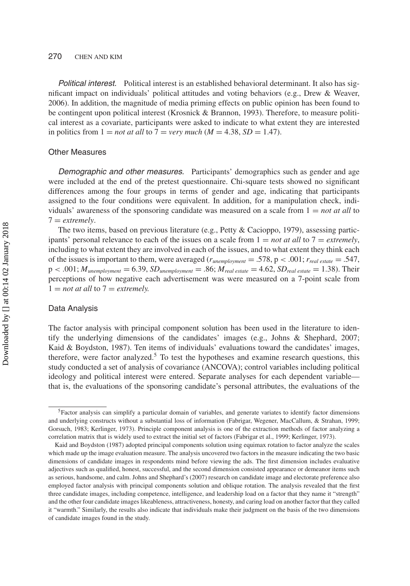#### 270 CHEN AND KIM

*Political interest.* Political interest is an established behavioral determinant. It also has significant impact on individuals' political attitudes and voting behaviors (e.g., Drew & Weaver, 2006). In addition, the magnitude of media priming effects on public opinion has been found to be contingent upon political interest (Krosnick & Brannon, 1993). Therefore, to measure political interest as a covariate, participants were asked to indicate to what extent they are interested in politics from  $1 = not$  *at all* to  $7 = very$  *much* ( $M = 4.38$ ,  $SD = 1.47$ ).

#### Other Measures

*Demographic and other measures.* Participants' demographics such as gender and age were included at the end of the pretest questionnaire. Chi-square tests showed no significant differences among the four groups in terms of gender and age, indicating that participants assigned to the four conditions were equivalent. In addition, for a manipulation check, individuals' awareness of the sponsoring candidate was measured on a scale from 1 = *not at all* to 7 = *extremely*.

The two items, based on previous literature (e.g., Petty & Cacioppo, 1979), assessing participants' personal relevance to each of the issues on a scale from  $1 = not$  at all to  $7 =$  *extremely*, including to what extent they are involved in each of the issues, and to what extent they think each of the issues is important to them, were averaged ( $r_{unemptyment} = .578$ ,  $p < .001$ ;  $r_{real\; estate} = .547$ ,  $p < .001$ ;  $M_{unembovment} = 6.39$ ,  $SD_{unembovment} = .86$ ;  $M_{real \; estate} = 4.62$ ,  $SD_{real \; estate} = 1.38$ ). Their perceptions of how negative each advertisement was were measured on a 7-point scale from  $1 = not at all to 7 = extremely.$ 

## Data Analysis

The factor analysis with principal component solution has been used in the literature to identify the underlying dimensions of the candidates' images (e.g., Johns & Shephard, 2007; Kaid & Boydston, 1987). Ten items of individuals' evaluations toward the candidates' images, therefore, were factor analyzed.<sup>5</sup> To test the hypotheses and examine research questions, this study conducted a set of analysis of covariance (ANCOVA); control variables including political ideology and political interest were entered. Separate analyses for each dependent variable that is, the evaluations of the sponsoring candidate's personal attributes, the evaluations of the

<sup>5</sup>Factor analysis can simplify a particular domain of variables, and generate variates to identify factor dimensions and underlying constructs without a substantial loss of information (Fabrigar, Wegener, MacCallum, & Strahan, 1999; Gorsuch, 1983; Kerlinger, 1973). Principle component analysis is one of the extraction methods of factor analyzing a correlation matrix that is widely used to extract the initial set of factors (Fabrigar et al., 1999; Kerlinger, 1973).

Kaid and Boydston (1987) adopted principal components solution using equimax rotation to factor analyze the scales which made up the image evaluation measure. The analysis uncovered two factors in the measure indicating the two basic dimensions of candidate images in respondents mind before viewing the ads. The first dimension includes evaluative adjectives such as qualified, honest, successful, and the second dimension consisted appearance or demeanor items such as serious, handsome, and calm. Johns and Shephard's (2007) research on candidate image and electorate preference also employed factor analysis with principal components solution and oblique rotation. The analysis revealed that the first three candidate images, including competence, intelligence, and leadership load on a factor that they name it "strength" and the other four candidate images likeableness, attractiveness, honesty, and caring load on another factor that they called it "warmth." Similarly, the results also indicate that individuals make their judgment on the basis of the two dimensions of candidate images found in the study.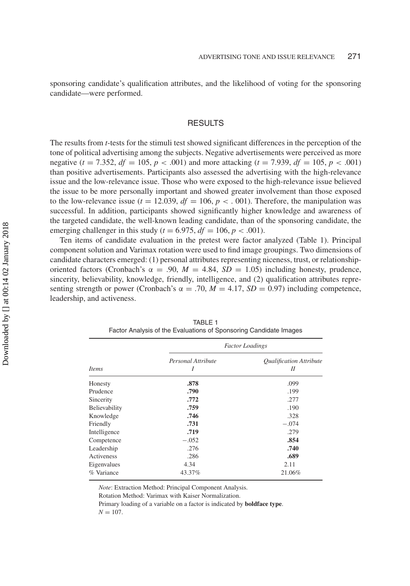sponsoring candidate's qualification attributes, and the likelihood of voting for the sponsoring candidate—were performed.

## RESULTS

The results from *t*-tests for the stimuli test showed significant differences in the perception of the tone of political advertising among the subjects. Negative advertisements were perceived as more negative  $(t = 7.352, df = 105, p < .001)$  and more attacking  $(t = 7.939, df = 105, p < .001)$ than positive advertisements. Participants also assessed the advertising with the high-relevance issue and the low-relevance issue. Those who were exposed to the high-relevance issue believed the issue to be more personally important and showed greater involvement than those exposed to the low-relevance issue  $(t = 12.039, df = 106, p < .001)$ . Therefore, the manipulation was successful. In addition, participants showed significantly higher knowledge and awareness of the targeted candidate, the well-known leading candidate, than of the sponsoring candidate, the emerging challenger in this study ( $t = 6.975$ ,  $df = 106$ ,  $p < .001$ ).

Ten items of candidate evaluation in the pretest were factor analyzed (Table 1). Principal component solution and Varimax rotation were used to find image groupings. Two dimensions of candidate characters emerged: (1) personal attributes representing niceness, trust, or relationshiporiented factors (Cronbach's  $\alpha = .90$ ,  $M = 4.84$ ,  $SD = 1.05$ ) including honesty, prudence, sincerity, believability, knowledge, friendly, intelligence, and (2) qualification attributes representing strength or power (Cronbach's  $\alpha = .70$ ,  $M = 4.17$ ,  $SD = 0.97$ ) including competence, leadership, and activeness.

|               | <b>Factor Loadings</b>  |                              |  |  |
|---------------|-------------------------|------------------------------|--|--|
| Items         | Personal Attribute<br>Ι | Qualification Attribute<br>Н |  |  |
| Honesty       | .878                    | .099                         |  |  |
| Prudence      | .790                    | .199                         |  |  |
| Sincerity     | .772                    | .277                         |  |  |
| Believability | .759                    | .190                         |  |  |
| Knowledge     | .746                    | .328                         |  |  |
| Friendly      | .731                    | $-.074$                      |  |  |
| Intelligence  | .719                    | .279                         |  |  |
| Competence    | $-.052$                 | .854                         |  |  |
| Leadership    | .276                    | .740                         |  |  |
| Activeness    | .286                    | .689                         |  |  |
| Eigenvalues   | 4.34                    | 2.11                         |  |  |
| % Variance    | 43.37%                  | 21.06%                       |  |  |

TABLE 1 Factor Analysis of the Evaluations of Sponsoring Candidate Images

*Note*: Extraction Method: Principal Component Analysis.

Rotation Method: Varimax with Kaiser Normalization.

Primary loading of a variable on a factor is indicated by **boldface type**.

 $N = 107$ .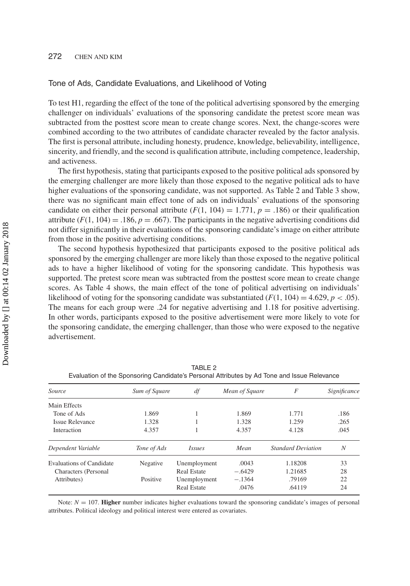## Tone of Ads, Candidate Evaluations, and Likelihood of Voting

To test H1, regarding the effect of the tone of the political advertising sponsored by the emerging challenger on individuals' evaluations of the sponsoring candidate the pretest score mean was subtracted from the posttest score mean to create change scores. Next, the change-scores were combined according to the two attributes of candidate character revealed by the factor analysis. The first is personal attribute, including honesty, prudence, knowledge, believability, intelligence, sincerity, and friendly, and the second is qualification attribute, including competence, leadership, and activeness.

The first hypothesis, stating that participants exposed to the positive political ads sponsored by the emerging challenger are more likely than those exposed to the negative political ads to have higher evaluations of the sponsoring candidate, was not supported. As Table 2 and Table 3 show, there was no significant main effect tone of ads on individuals' evaluations of the sponsoring candidate on either their personal attribute  $(F(1, 104) = 1.771$ ,  $p = .186$ ) or their qualification attribute  $(F(1, 104) = .186, p = .667)$ . The participants in the negative advertising conditions did not differ significantly in their evaluations of the sponsoring candidate's image on either attribute from those in the positive advertising conditions.

The second hypothesis hypothesized that participants exposed to the positive political ads sponsored by the emerging challenger are more likely than those exposed to the negative political ads to have a higher likelihood of voting for the sponsoring candidate. This hypothesis was supported. The pretest score mean was subtracted from the posttest score mean to create change scores. As Table 4 shows, the main effect of the tone of political advertising on individuals' likelihood of voting for the sponsoring candidate was substantiated  $(F(1, 104) = 4.629, p < .05)$ . The means for each group were .24 for negative advertising and 1.18 for positive advertising. In other words, participants exposed to the positive advertisement were more likely to vote for the sponsoring candidate, the emerging challenger, than those who were exposed to the negative advertisement.

| Source                          | Sum of Square | df                 | Mean of Square | F                         | Significance |
|---------------------------------|---------------|--------------------|----------------|---------------------------|--------------|
| Main Effects                    |               |                    |                |                           |              |
| Tone of Ads                     | 1.869         |                    | 1.869          | 1.771                     | .186         |
| Issue Relevance                 | 1.328         |                    | 1.328          | 1.259                     | .265         |
| Interaction                     | 4.357         |                    | 4.357          | 4.128                     | .045         |
| Dependent Variable              | Tone of Ads   | <i>Issues</i>      | Mean           | <b>Standard Deviation</b> | N            |
| <b>Evaluations of Candidate</b> | Negative      | Unemployment       | .0043          | 1.18208                   | 33           |
| <b>Characters</b> (Personal     |               | <b>Real Estate</b> | $-.6429$       | 1.21685                   | 28           |
| Attributes)                     | Positive      | Unemployment       | $-.1364$       | .79169                    | 22           |
|                                 |               | <b>Real Estate</b> | .0476          | .64119                    | 24           |

TABLE 2 Evaluation of the Sponsoring Candidate's Personal Attributes by Ad Tone and Issue Relevance

Note:  $N = 107$ . **Higher** number indicates higher evaluations toward the sponsoring candidate's images of personal attributes. Political ideology and political interest were entered as covariates.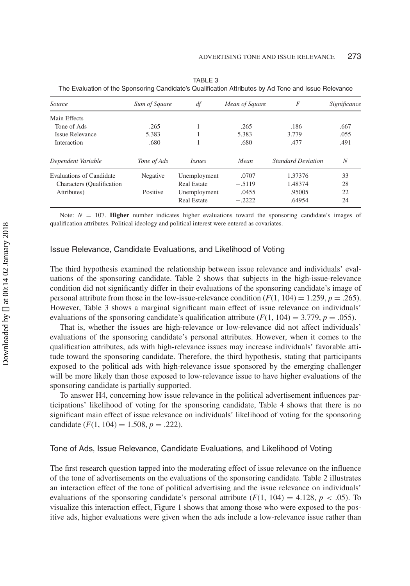| Source                     | Sum of Square | df                 | Mean of Square | F                         | Significance |
|----------------------------|---------------|--------------------|----------------|---------------------------|--------------|
| Main Effects               |               |                    |                |                           |              |
| Tone of Ads                | .265          |                    | .265           | .186                      | .667         |
| Issue Relevance            | 5.383         |                    | 5.383          | 3.779                     | .055         |
| Interaction                | .680          |                    | .680           | .477                      | .491         |
| Dependent Variable         | Tone of Ads   | <i>Issues</i>      | Mean           | <b>Standard Deviation</b> | N            |
| Evaluations of Candidate   | Negative      | Unemployment       | .0707          | 1.37376                   | 33           |
| Characters (Qualification) |               | <b>Real Estate</b> | $-.5119$       | 1.48374                   | 28           |
| Attributes)                | Positive      | Unemployment       | .0455          | .95005                    | 22           |
|                            |               | <b>Real Estate</b> | $-.2222$       | .64954                    | 24           |

TABLE 3 The Evaluation of the Sponsoring Candidate's Qualification Attributes by Ad Tone and Issue Relevance

Note:  $N = 107$ . **Higher** number indicates higher evaluations toward the sponsoring candidate's images of qualification attributes. Political ideology and political interest were entered as covariates.

#### Issue Relevance, Candidate Evaluations, and Likelihood of Voting

The third hypothesis examined the relationship between issue relevance and individuals' evaluations of the sponsoring candidate. Table 2 shows that subjects in the high-issue-relevance condition did not significantly differ in their evaluations of the sponsoring candidate's image of personal attribute from those in the low-issue-relevance condition  $(F(1, 104) = 1.259, p = .265)$ . However, Table 3 shows a marginal significant main effect of issue relevance on individuals' evaluations of the sponsoring candidate's qualification attribute  $(F(1, 104) = 3.779, p = .055)$ .

That is, whether the issues are high-relevance or low-relevance did not affect individuals' evaluations of the sponsoring candidate's personal attributes. However, when it comes to the qualification attributes, ads with high-relevance issues may increase individuals' favorable attitude toward the sponsoring candidate. Therefore, the third hypothesis, stating that participants exposed to the political ads with high-relevance issue sponsored by the emerging challenger will be more likely than those exposed to low-relevance issue to have higher evaluations of the sponsoring candidate is partially supported.

To answer H4, concerning how issue relevance in the political advertisement influences participations' likelihood of voting for the sponsoring candidate, Table 4 shows that there is no significant main effect of issue relevance on individuals' likelihood of voting for the sponsoring candidate  $(F(1, 104) = 1.508, p = .222)$ .

#### Tone of Ads, Issue Relevance, Candidate Evaluations, and Likelihood of Voting

The first research question tapped into the moderating effect of issue relevance on the influence of the tone of advertisements on the evaluations of the sponsoring candidate. Table 2 illustrates an interaction effect of the tone of political advertising and the issue relevance on individuals' evaluations of the sponsoring candidate's personal attribute  $(F(1, 104) = 4.128, p < .05)$ . To visualize this interaction effect, Figure 1 shows that among those who were exposed to the positive ads, higher evaluations were given when the ads include a low-relevance issue rather than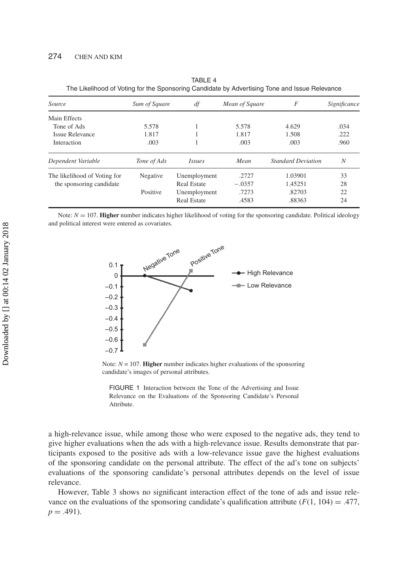#### 274 CHEN AND KIM

| Source                       | Sum of Square | df                 | Mean of Square | F                         | Significance |
|------------------------------|---------------|--------------------|----------------|---------------------------|--------------|
| Main Effects                 |               |                    |                |                           |              |
| Tone of Ads                  | 5.578         |                    | 5.578          | 4.629                     | .034         |
| Issue Relevance              | 1.817         |                    | 1.817          | 1.508                     | .222         |
| Interaction                  | .003          |                    | .003           | .003                      | .960         |
| Dependent Variable           | Tone of Ads   | <i>Issues</i>      | Mean           | <b>Standard Deviation</b> | N            |
| The likelihood of Voting for | Negative      | Unemployment       | .2727          | 1.03901                   | 33           |
| the sponsoring candidate     |               | <b>Real Estate</b> | $-.0357$       | 1.45251                   | 28           |
|                              | Positive      | Unemployment       | .7273          | .82703                    | 22           |
|                              |               | <b>Real Estate</b> | .4583          | .88363                    | 24           |

TABLE 4 The Likelihood of Voting for the Sponsoring Candidate by Advertising Tone and Issue Relevance

Note:  $N = 107$ . **Higher** number indicates higher likelihood of voting for the sponsoring candidate. Political ideology and political interest were entered as covariates.



Note:  $N = 107$ . **Higher** number indicates higher evaluations of the sponsoring candidate's images of personal attributes.

FIGURE 1 Interaction between the Tone of the Advertising and Issue Relevance on the Evaluations of the Sponsoring Candidate's Personal Attribute.

a high-relevance issue, while among those who were exposed to the negative ads, they tend to give higher evaluations when the ads with a high-relevance issue. Results demonstrate that participants exposed to the positive ads with a low-relevance issue gave the highest evaluations of the sponsoring candidate on the personal attribute. The effect of the ad's tone on subjects' evaluations of the sponsoring candidate's personal attributes depends on the level of issue relevance.

However, Table 3 shows no significant interaction effect of the tone of ads and issue relevance on the evaluations of the sponsoring candidate's qualification attribute  $(F(1, 104) = .477$ ,  $p = .491$ .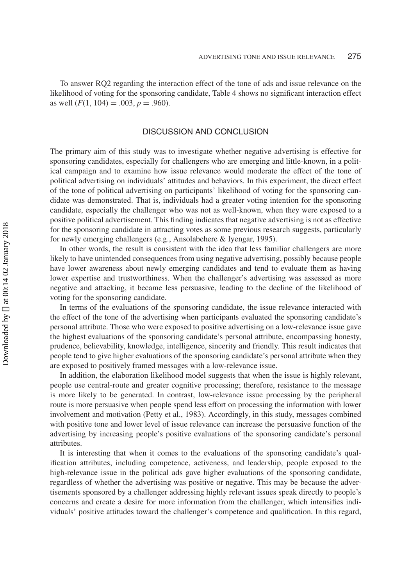To answer RQ2 regarding the interaction effect of the tone of ads and issue relevance on the likelihood of voting for the sponsoring candidate, Table 4 shows no significant interaction effect as well  $(F(1, 104) = .003, p = .960)$ .

## DISCUSSION AND CONCLUSION

The primary aim of this study was to investigate whether negative advertising is effective for sponsoring candidates, especially for challengers who are emerging and little-known, in a political campaign and to examine how issue relevance would moderate the effect of the tone of political advertising on individuals' attitudes and behaviors. In this experiment, the direct effect of the tone of political advertising on participants' likelihood of voting for the sponsoring candidate was demonstrated. That is, individuals had a greater voting intention for the sponsoring candidate, especially the challenger who was not as well-known, when they were exposed to a positive political advertisement. This finding indicates that negative advertising is not as effective for the sponsoring candidate in attracting votes as some previous research suggests, particularly for newly emerging challengers (e.g., Ansolabehere & Iyengar, 1995).

In other words, the result is consistent with the idea that less familiar challengers are more likely to have unintended consequences from using negative advertising, possibly because people have lower awareness about newly emerging candidates and tend to evaluate them as having lower expertise and trustworthiness. When the challenger's advertising was assessed as more negative and attacking, it became less persuasive, leading to the decline of the likelihood of voting for the sponsoring candidate.

In terms of the evaluations of the sponsoring candidate, the issue relevance interacted with the effect of the tone of the advertising when participants evaluated the sponsoring candidate's personal attribute. Those who were exposed to positive advertising on a low-relevance issue gave the highest evaluations of the sponsoring candidate's personal attribute, encompassing honesty, prudence, believability, knowledge, intelligence, sincerity and friendly. This result indicates that people tend to give higher evaluations of the sponsoring candidate's personal attribute when they are exposed to positively framed messages with a low-relevance issue.

In addition, the elaboration likelihood model suggests that when the issue is highly relevant, people use central-route and greater cognitive processing; therefore, resistance to the message is more likely to be generated. In contrast, low-relevance issue processing by the peripheral route is more persuasive when people spend less effort on processing the information with lower involvement and motivation (Petty et al., 1983). Accordingly, in this study, messages combined with positive tone and lower level of issue relevance can increase the persuasive function of the advertising by increasing people's positive evaluations of the sponsoring candidate's personal attributes.

It is interesting that when it comes to the evaluations of the sponsoring candidate's qualification attributes, including competence, activeness, and leadership, people exposed to the high-relevance issue in the political ads gave higher evaluations of the sponsoring candidate, regardless of whether the advertising was positive or negative. This may be because the advertisements sponsored by a challenger addressing highly relevant issues speak directly to people's concerns and create a desire for more information from the challenger, which intensifies individuals' positive attitudes toward the challenger's competence and qualification. In this regard,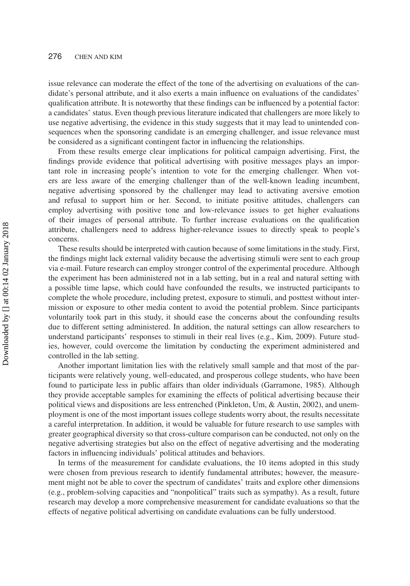issue relevance can moderate the effect of the tone of the advertising on evaluations of the candidate's personal attribute, and it also exerts a main influence on evaluations of the candidates' qualification attribute. It is noteworthy that these findings can be influenced by a potential factor: a candidates' status. Even though previous literature indicated that challengers are more likely to use negative advertising, the evidence in this study suggests that it may lead to unintended consequences when the sponsoring candidate is an emerging challenger, and issue relevance must be considered as a significant contingent factor in influencing the relationships.

From these results emerge clear implications for political campaign advertising. First, the findings provide evidence that political advertising with positive messages plays an important role in increasing people's intention to vote for the emerging challenger. When voters are less aware of the emerging challenger than of the well-known leading incumbent, negative advertising sponsored by the challenger may lead to activating aversive emotion and refusal to support him or her. Second, to initiate positive attitudes, challengers can employ advertising with positive tone and low-relevance issues to get higher evaluations of their images of personal attribute. To further increase evaluations on the qualification attribute, challengers need to address higher-relevance issues to directly speak to people's concerns.

These results should be interpreted with caution because of some limitations in the study. First, the findings might lack external validity because the advertising stimuli were sent to each group via e-mail. Future research can employ stronger control of the experimental procedure. Although the experiment has been administered not in a lab setting, but in a real and natural setting with a possible time lapse, which could have confounded the results, we instructed participants to complete the whole procedure, including pretest, exposure to stimuli, and posttest without intermission or exposure to other media content to avoid the potential problem. Since participants voluntarily took part in this study, it should ease the concerns about the confounding results due to different setting administered. In addition, the natural settings can allow researchers to understand participants' responses to stimuli in their real lives (e.g., Kim, 2009). Future studies, however, could overcome the limitation by conducting the experiment administered and controlled in the lab setting.

Another important limitation lies with the relatively small sample and that most of the participants were relatively young, well-educated, and prosperous college students, who have been found to participate less in public affairs than older individuals (Garramone, 1985). Although they provide acceptable samples for examining the effects of political advertising because their political views and dispositions are less entrenched (Pinkleton, Um, & Austin, 2002), and unemployment is one of the most important issues college students worry about, the results necessitate a careful interpretation. In addition, it would be valuable for future research to use samples with greater geographical diversity so that cross-culture comparison can be conducted, not only on the negative advertising strategies but also on the effect of negative advertising and the moderating factors in influencing individuals' political attitudes and behaviors.

In terms of the measurement for candidate evaluations, the 10 items adopted in this study were chosen from previous research to identify fundamental attributes; however, the measurement might not be able to cover the spectrum of candidates' traits and explore other dimensions (e.g., problem-solving capacities and "nonpolitical" traits such as sympathy). As a result, future research may develop a more comprehensive measurement for candidate evaluations so that the effects of negative political advertising on candidate evaluations can be fully understood.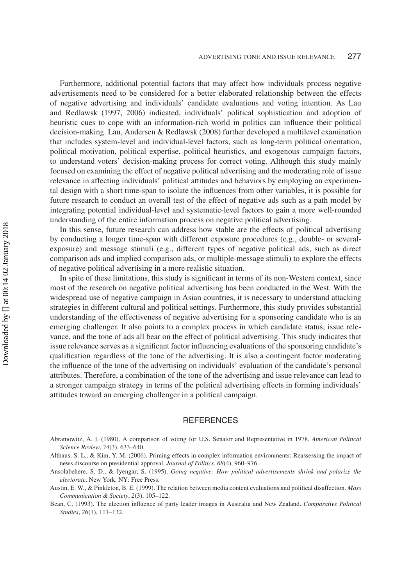Furthermore, additional potential factors that may affect how individuals process negative advertisements need to be considered for a better elaborated relationship between the effects of negative advertising and individuals' candidate evaluations and voting intention. As Lau and Redlawsk (1997, 2006) indicated, individuals' political sophistication and adoption of heuristic cues to cope with an information-rich world in politics can influence their political decision-making. Lau, Andersen & Redlawsk (2008) further developed a multilevel examination that includes system-level and individual-level factors, such as long-term political orientation, political motivation, political expertise, political heuristics, and exogenous campaign factors, to understand voters' decision-making process for correct voting. Although this study mainly focused on examining the effect of negative political advertising and the moderating role of issue relevance in affecting individuals' political attitudes and behaviors by employing an experimental design with a short time-span to isolate the influences from other variables, it is possible for future research to conduct an overall test of the effect of negative ads such as a path model by integrating potential individual-level and systematic-level factors to gain a more well-rounded understanding of the entire information process on negative political advertising.

In this sense, future research can address how stable are the effects of political advertising by conducting a longer time-span with different exposure procedures (e.g., double- or severalexposure) and message stimuli (e.g., different types of negative political ads, such as direct comparison ads and implied comparison ads, or multiple-message stimuli) to explore the effects of negative political advertising in a more realistic situation.

In spite of these limitations, this study is significant in terms of its non-Western context, since most of the research on negative political advertising has been conducted in the West. With the widespread use of negative campaign in Asian countries, it is necessary to understand attacking strategies in different cultural and political settings. Furthermore, this study provides substantial understanding of the effectiveness of negative advertising for a sponsoring candidate who is an emerging challenger. It also points to a complex process in which candidate status, issue relevance, and the tone of ads all bear on the effect of political advertising. This study indicates that issue relevance serves as a significant factor influencing evaluations of the sponsoring candidate's qualification regardless of the tone of the advertising. It is also a contingent factor moderating the influence of the tone of the advertising on individuals' evaluation of the candidate's personal attributes. Therefore, a combination of the tone of the advertising and issue relevance can lead to a stronger campaign strategy in terms of the political advertising effects in forming individuals' attitudes toward an emerging challenger in a political campaign.

## **REFERENCES**

Abramowitz, A. I. (1980). A comparison of voting for U.S. Senator and Representative in 1978. *American Political Science Review*, *74*(3), 633–640.

Althaus, S. L., & Kim, Y. M. (2006). Priming effects in complex information environments: Reassessing the impact of news discourse on presidential approval. *Journal of Politics*, *68*(4), 960–976.

Ansolabehere, S. D., & Iyengar, S. (1995). *Going negative: How political advertisements shrink and polarize the electorate*. New York, NY: Free Press.

Austin, E. W., & Pinkleton, B. E. (1999). The relation between media content evaluations and political disaffection. *Mass Communication & Society*, *2*(3), 105–122.

Bean, C. (1993). The election influence of party leader images in Australia and New Zealand. *Comparative Political Studies*, *26*(1), 111–132.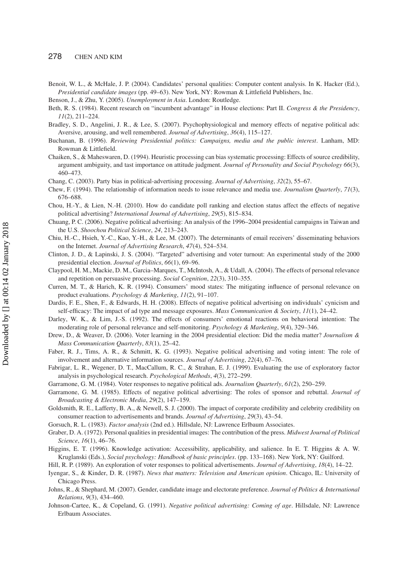#### 278 CHEN AND KIM

Benoit, W. L., & McHale, J. P. (2004). Candidates' personal qualities: Computer content analysis. In K. Hacker (Ed.), *Presidential candidate images* (pp. 49–63). New York, NY: Rowman & Littlefield Publishers, Inc.

Benson, J., & Zhu, Y. (2005). *Unemployment in Asia*. London: Routledge.

Beth, R. S. (1984). Recent research on "incumbent advantage" in House elections: Part II. *Congress & the Presidency*, *11*(2), 211–224.

- Bradley, S. D., Angelini, J. R., & Lee, S. (2007). Psychophysiological and memory effects of negative political ads: Aversive, arousing, and well remembered. *Journal of Advertising*, *36*(4), 115–127.
- Buchanan, B. (1996). *Reviewing Presidential politics: Campaigns, media and the public interest*. Lanham, MD: Rowman & Littlefield.
- Chaiken, S., & Maheswaren, D. (1994). Heuristic processing can bias systematic processing: Effects of source credibility, argument ambiguity, and tast importance on attitude judgment. *Journal of Personality and Social Psychology 66*(3), 460–473.
- Chang, C. (2003). Party bias in political-advertising processing. *Journal of Advertising*, *32*(2), 55–67.
- Chew, F. (1994). The relationship of information needs to issue relevance and media use. *Journalism Quarterly*, *71*(3), 676–688.
- Chou, H.-Y., & Lien, N.-H. (2010). How do candidate poll ranking and election status affect the effects of negative political advertising? *International Journal of Advertising*, *29*(5), 815–834.
- Chuang, P. C. (2006). Negative political advertising: An analysis of the 1996–2004 presidential campaigns in Taiwan and the U.S. *Shoochou Political Science*, *24*, 213–243.
- Chiu, H.-C., Hsieh, Y.-C., Kao, Y.-H., & Lee, M. (2007). The determinants of email receivers' disseminating behaviors on the Internet. *Journal of Advertising Research*, *47*(4), 524–534.
- Clinton, J. D., & Lapinski, J. S. (2004). "Targeted" advertising and voter turnout: An experimental study of the 2000 presidential election. *Journal of Politics*, *66*(1), 69–96.
- Claypool, H. M., Mackie, D. M., Garcia–Marques, T., McIntosh, A., & Udall, A. (2004). The effects of personal relevance and repetition on persuasive processing. *Social Cognition*, *22*(3), 310–355.
- Curren, M. T., & Harich, K. R. (1994). Consumers' mood states: The mitigating influence of personal relevance on product evaluations. *Psychology & Marketing*, *11*(2), 91–107.
- Dardis, F. E., Shen, F., & Edwards, H. H. (2008). Effects of negative political advertising on individuals' cynicism and self-efficacy: The impact of ad type and message exposures. *Mass Communication & Society*, *11*(1), 24–42.
- Darley, W. K., & Lim, J.-S. (1992). The effects of consumers' emotional reactions on behavioral intention: The moderating role of personal relevance and self-monitoring. *Psychology & Marketing*, *9*(4), 329–346.
- Drew, D., & Weaver, D. (2006). Voter learning in the 2004 presidential election: Did the media matter? *Journalism & Mass Communication Quarterly*, *83*(1), 25–42.
- Faber, R. J., Tims, A. R., & Schmitt, K. G. (1993). Negative political advertising and voting intent: The role of involvement and alternative information sources. *Journal of Advertising*, *22*(4), 67–76.
- Fabrigar, L. R., Wegener, D. T., MacCallum, R. C., & Strahan, E. J. (1999). Evaluating the use of exploratory factor analysis in psychological research. *Psychological Methods*, *4*(3), 272–299.
- Garramone, G. M. (1984). Voter responses to negative political ads. *Journalism Quarterly*, *61*(2), 250–259.
- Garramone, G. M. (1985). Effects of negative political advertising: The roles of sponsor and rebuttal. *Journal of Broadcasting & Electronic Media*, *29*(2), 147–159.
- Goldsmith, R. E., Lafferty, B. A., & Newell, S. J. (2000). The impact of corporate credibility and celebrity credibility on consumer reaction to advertisements and brands. *Journal of Advertising*, *29*(3), 43–54.
- Gorsuch, R. L. (1983). *Factor analysis* (2nd ed.). Hillsdale, NJ: Lawrence Erlbaum Associates.
- Graber, D. A. (1972). Personal qualities in presidential images: The contribution of the press. *Midwest Journal of Political Science*, *16*(1), 46–76.
- Higgins, E. T. (1996). Knowledge activation: Accessibility, applicability, and salience. In E. T. Higgins & A. W. Kruglanski (Eds.), *Social psychology: Handbook of basic principles*. (pp. 133–168). New York, NY: Guilford.
- Hill, R. P. (1989). An exploration of voter responses to political advertisements. *Journal of Advertising*, *18*(4), 14–22.
- Iyengar, S., & Kinder, D. R. (1987). *News that matters: Television and American opinion*. Chicago, IL: University of Chicago Press.
- Johns, R., & Shephard, M. (2007). Gender, candidate image and electorate preference. *Journal of Politics & International Relations*, *9*(3), 434–460.
- Johnson-Cartee, K., & Copeland, G. (1991). *Negative political advertising: Coming of age*. Hillsdale, NJ: Lawrence Erlbaum Associates.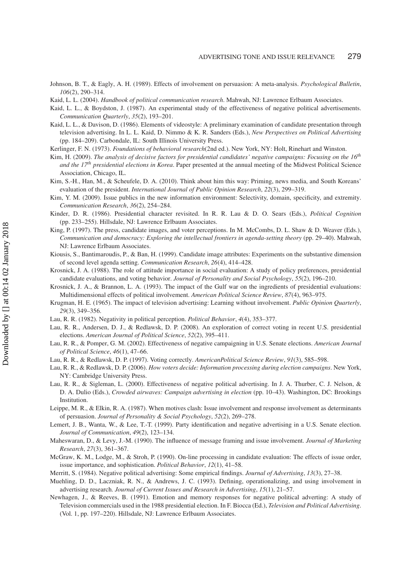Johnson, B. T., & Eagly, A. H. (1989). Effects of involvement on persuasion: A meta-analysis. *Psychological Bulletin*, *106*(2), 290–314.

Kaid, L. L. (2004). *Handbook of political communication research*. Mahwah, NJ: Lawrence Erlbaum Associates.

- Kaid, L. L., & Boydston, J. (1987). An experimental study of the effectiveness of negative political advertisements. *Communication Quarterly*, *35*(2), 193–201.
- Kaid, L. L., & Davison, D. (1986). Elements of videostyle: A preliminary examination of candidate presentation through television advertising. In L. L. Kaid, D. Nimmo & K. R. Sanders (Eds.), *New Perspectives on Political Advertising* (pp. 184–209). Carbondale, IL: South Illinois University Press.
- Kerlinger, F. N. (1973). *Foundations of behavioral research*(2nd ed.). New York, NY: Holt, Rinehart and Winston.
- Kim, H. (2009). *The analysis of decisive factors for presidential candidates' negative campaigns: Focusing on the 16th and the 17th presidential elections in Korea*. Paper presented at the annual meeting of the Midwest Political Science Association, Chicago, IL.
- Kim, S.-H., Han, M., & Scheufele, D. A. (2010). Think about him this way: Priming, news media, and South Koreans' evaluation of the president. *International Journal of Public Opinion Research*, *22*(3), 299–319.
- Kim, Y. M. (2009). Issue publics in the new information environment: Selectivity, domain, specificity, and extremity. *Communication Research*, *36*(2), 254–284.
- Kinder, D. R. (1986). Presidential character revisited. In R. R. Lau & D. O. Sears (Eds.), *Political Cognition* (pp. 233–255). Hillsdale, NJ: Lawrence Erlbaum Associates.
- King, P. (1997). The press, candidate images, and voter perceptions. In M. McCombs, D. L. Shaw & D. Weaver (Eds.), *Communication and democracy: Exploring the intellectual frontiers in agenda-setting theory* (pp. 29–40). Mahwah, NJ: Lawrence Erlbaum Associates.
- Kiousis, S., Bantimaroudis, P., & Ban, H. (1999). Candidate image attributes: Experiments on the substantive dimension of second level agenda setting. *Communication Research*, *26*(4), 414–428.
- Krosnick, J. A. (1988). The role of attitude importance in social evaluation: A study of policy preferences, presidential candidate evaluations, and voting behavior. *Journal of Personality and Social Psychology*, *55*(2), 196–210.
- Krosnick, J. A., & Brannon, L. A. (1993). The impact of the Gulf war on the ingredients of presidential evaluations: Multidimensional effects of political involvement. *American Political Science Review*, *87*(4), 963–975.
- Krugman, H. E. (1965). The impact of television advertising: Learning without involvement. *Public Opinion Quarterly*, *29*(3), 349–356.
- Lau, R. R. (1982). Negativity in political perception. *Political Behavior*, *4*(4), 353–377.
- Lau, R. R., Andersen, D. J., & Redlawsk, D. P. (2008). An exploration of correct voting in recent U.S. presidential elections. *American Journal of Political Science*, *52*(2), 395–411.
- Lau, R. R., & Pomper, G. M. (2002). Effectiveness of negative campaigning in U.S. Senate elections. *American Journal of Political Science*, *46*(1), 47–66.
- Lau, R. R., & Redlawsk, D. P. (1997). Voting correctly. *AmericanPolitical Science Review*, *91*(3), 585–598.
- Lau, R. R., & Redlawsk, D. P. (2006). *How voters decide: Information processing during election campaigns*. New York, NY: Cambridge University Press.
- Lau, R. R., & Sigleman, L. (2000). Effectiveness of negative political advertising. In J. A. Thurber, C. J. Nelson, & D. A. Dulio (Eds.), *Crowded airwaves: Campaign advertising in election* (pp. 10–43). Washington, DC: Brookings Institution.
- Leippe, M. R., & Elkin, R. A. (1987). When motives clash: Issue involvement and response involvement as determinants of persuasion. *Journal of Personality & Social Psychology*, *52*(2), 269–278.
- Lemert, J. B., Wanta, W., & Lee, T.-T. (1999). Party identification and negative advertising in a U.S. Senate election. *Journal of Communication*, *49*(2), 123–134.
- Maheswaran, D., & Levy, J.-M. (1990). The influence of message framing and issue involvement. *Journal of Marketing Research*, *27*(3), 361–367.
- McGraw, K. M., Lodge, M., & Stroh, P. (1990). On-line processing in candidate evaluation: The effects of issue order, issue importance, and sophistication. *Political Behavior*, *12*(1), 41–58.
- Merritt, S. (1984). Negative political advertising: Some empirical findings. *Journal of Advertising*, *13*(3), 27–38.
- Muehling, D. D., Laczniak, R. N., & Andrews, J. C. (1993). Defining, operationalizing, and using involvement in advertising research. *Journal of Current Issues and Research in Advertising*, *15*(1), 21–57.
- Newhagen, J., & Reeves, B. (1991). Emotion and memory responses for negative political adverting: A study of Television commercials used in the 1988 presidential election. In F. Biocca (Ed.), *Television and Political Advertising*. (Vol. 1, pp. 197–220). Hillsdale, NJ: Lawrence Erlbaum Associates.